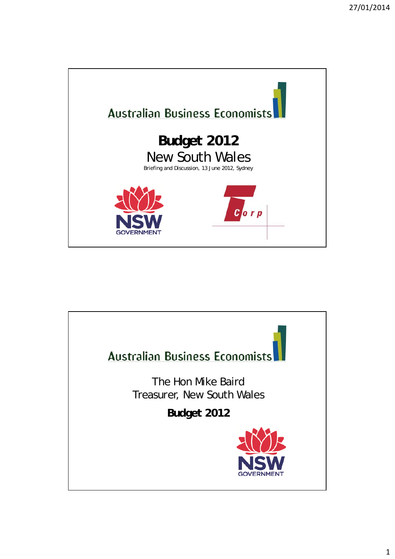

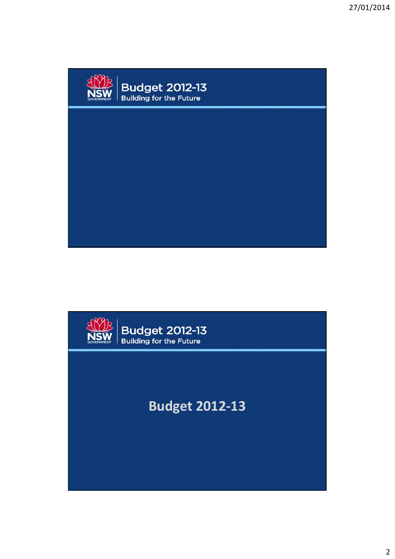

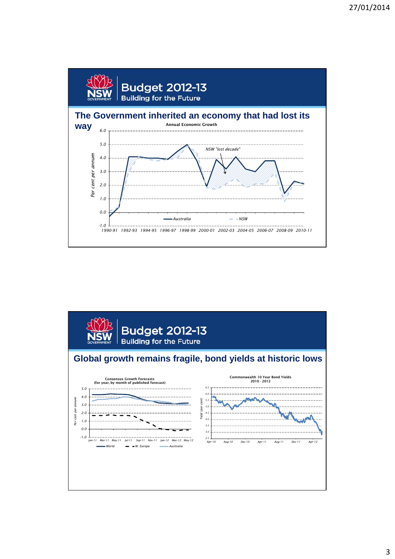

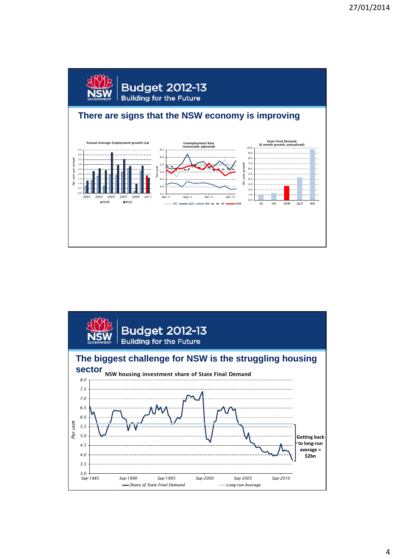

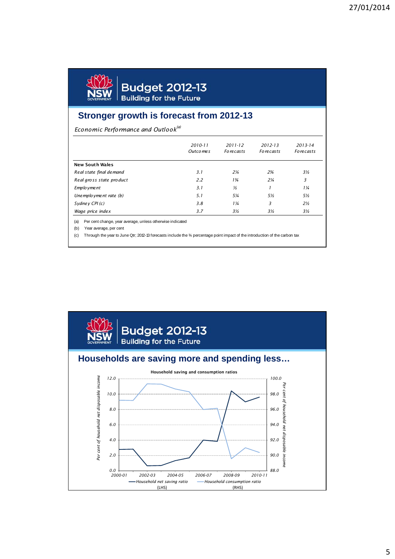

**Budget 2012-13**<br>Building for the Future

## **Stronger growth is forecast from 2012-13**

*Economic Performance and Outlook(a)*

|                          | 2010-11<br>Outco me s | $2011 - 12$<br><b>Forecasts</b> | 2012-13<br><b>Forecasts</b> | 2013-14<br><b>Forecasts</b> |
|--------------------------|-----------------------|---------------------------------|-----------------------------|-----------------------------|
| <b>New South Wales</b>   |                       |                                 |                             |                             |
| Real state final demand  | 3.1                   | $2\frac{1}{4}$                  | $2\frac{3}{4}$              | $3\frac{1}{2}$              |
| Real gross state product | 2.2                   | $1\frac{3}{4}$                  | $2\frac{1}{4}$              | 3                           |
| Emplo yme nt             | 3.1                   | $\frac{1}{2}$                   |                             | $1\frac{1}{4}$              |
| Unemployment rate (b)    | 5.1                   | 5¼                              | 5½                          | 5½                          |
| Sydney CPI (c)           | 3.8                   | $1\frac{1}{4}$                  | 3                           | $2\frac{1}{2}$              |
| Wage price index         | 3.7                   | 3½                              | 3½                          | 3½                          |

(b) Year average, per cent

(c) Through the year to June Qtr; 2012-13 forecasts include the ¾ percentage point impact of the introduction of the carbon tax

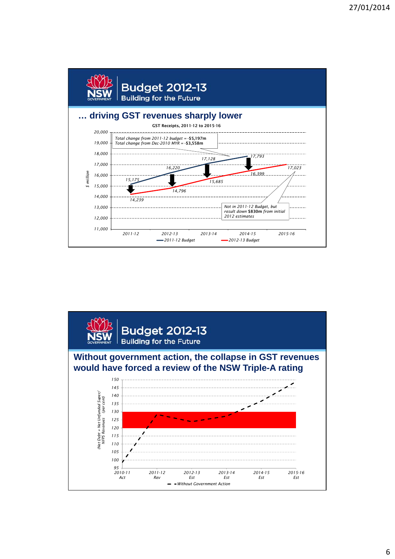

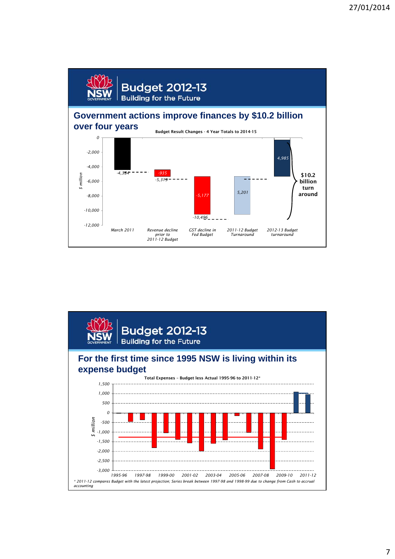

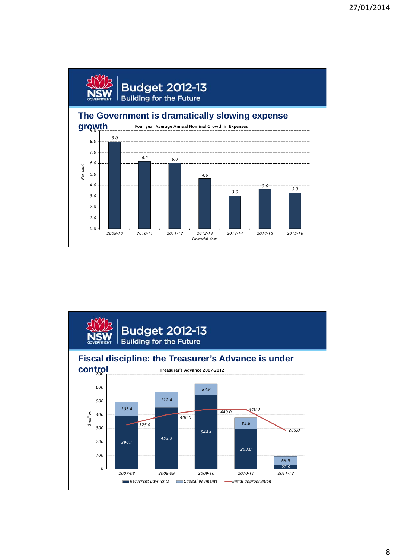

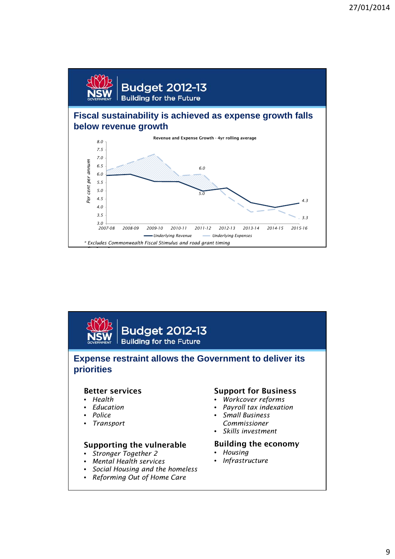

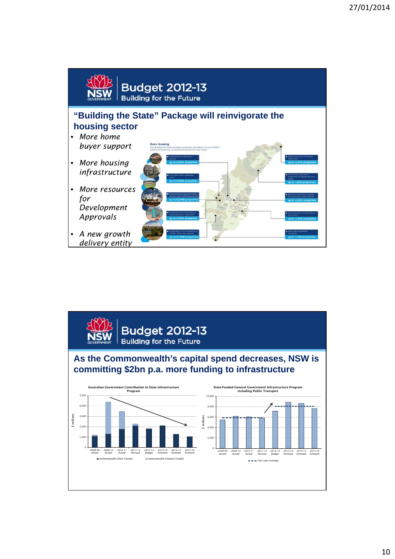

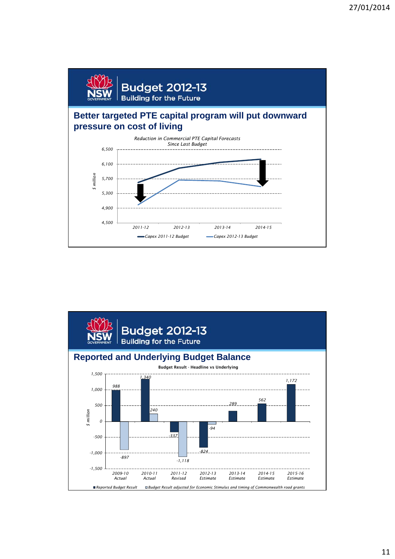